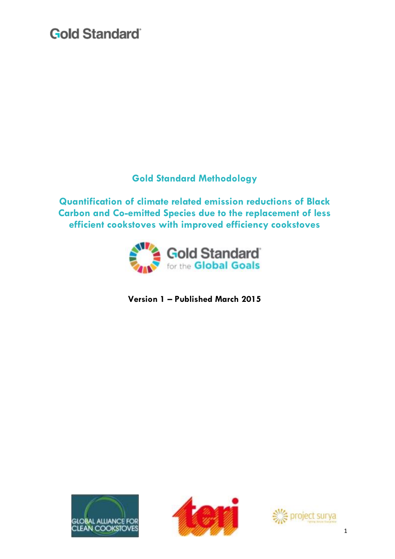### **Gold Standard Methodology**

**Quantification of climate related emission reductions of Black Carbon and Co-emitted Species due to the replacement of less efficient cookstoves with improved efficiency cookstoves**



**Version 1 – Published March 2015**





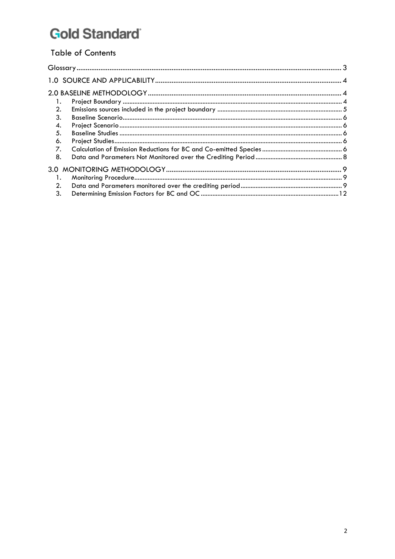### **Table of Contents**

| 2.             |  |
|----------------|--|
| 3.             |  |
| 4.             |  |
| 5.             |  |
| 6.             |  |
| 7.             |  |
| 8.             |  |
|                |  |
| $\mathbf{1}$ . |  |
| 2.             |  |
| 3.             |  |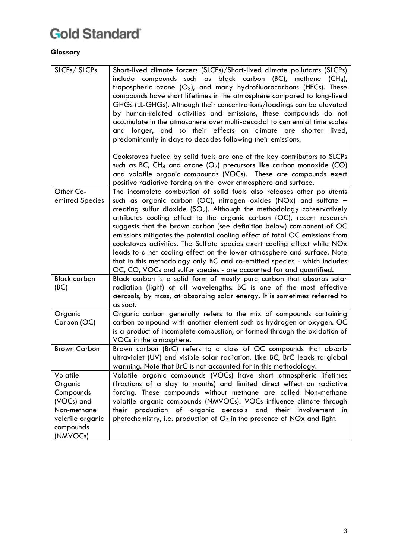### <span id="page-2-0"></span>**Glossary**

| SLCFs/SLCPs                                                                                                | Short-lived climate forcers (SLCFs)/Short-lived climate pollutants (SLCPs)<br>include compounds such as black carbon (BC), methane (CH4),<br>tropospheric ozone $(O_3)$ , and many hydrofluorocarbons (HFCs). These<br>compounds have short lifetimes in the atmosphere compared to long-lived<br>GHGs (LL-GHGs). Although their concentrations/loadings can be elevated<br>by human-related activities and emissions, these compounds do not<br>accumulate in the atmosphere over multi-decadal to centennial time scales<br>and longer, and so their effects on climate are shorter lived,<br>predominantly in days to decades following their emissions.                                                                                                          |
|------------------------------------------------------------------------------------------------------------|----------------------------------------------------------------------------------------------------------------------------------------------------------------------------------------------------------------------------------------------------------------------------------------------------------------------------------------------------------------------------------------------------------------------------------------------------------------------------------------------------------------------------------------------------------------------------------------------------------------------------------------------------------------------------------------------------------------------------------------------------------------------|
|                                                                                                            | Cookstoves fueled by solid fuels are one of the key contributors to SLCPs<br>such as BC, CH <sub>4</sub> and ozone $(O_3)$ precursors like carbon monoxide $(CO)$<br>and volatile organic compounds (VOCs). These are compounds exert<br>positive radiative forcing on the lower atmosphere and surface.                                                                                                                                                                                                                                                                                                                                                                                                                                                             |
| Other Co-<br>emitted Species                                                                               | The incomplete combustion of solid fuels also releases other pollutants<br>such as organic carbon (OC), nitrogen oxides (NOx) and sulfate -<br>creating sulfur dioxide $(SO2)$ . Although the methodology conservatively<br>attributes cooling effect to the organic carbon (OC), recent research<br>suggests that the brown carbon (see definition below) component of OC<br>emissions mitigates the potential cooling effect of total OC emissions from<br>cookstoves activities. The Sulfate species exert cooling effect while NOx<br>leads to a net cooling effect on the lower atmosphere and surface. Note<br>that in this methodology only BC and co-emitted species - which includes<br>OC, CO, VOCs and sulfur species - are accounted for and quantified. |
| <b>Black carbon</b><br>(BC)                                                                                | Black carbon is a solid form of mostly pure carbon that absorbs solar<br>radiation (light) at all wavelengths. BC is one of the most effective<br>aerosols, by mass, at absorbing solar energy. It is sometimes referred to<br>as soot.                                                                                                                                                                                                                                                                                                                                                                                                                                                                                                                              |
| Organic<br>Carbon (OC)                                                                                     | Organic carbon generally refers to the mix of compounds containing<br>carbon compound with another element such as hydrogen or oxygen. OC<br>is a product of incomplete combustion, or formed through the oxidation of<br>VOCs in the atmosphere.                                                                                                                                                                                                                                                                                                                                                                                                                                                                                                                    |
| <b>Brown Carbon</b>                                                                                        | Brown carbon (BrC) refers to a class of OC compounds that absorb<br>ultraviolet (UV) and visible solar radiation. Like BC, BrC leads to global<br>warming. Note that BrC is not accounted for in this methodology.                                                                                                                                                                                                                                                                                                                                                                                                                                                                                                                                                   |
| Volatile<br>Organic<br>Compounds<br>(VOCs) and<br>Non-methane<br>volatile organic<br>compounds<br>(NMVOCs) | Volatile organic compounds (VOCs) have short atmospheric lifetimes<br>(fractions of a day to months) and limited direct effect on radiative<br>forcing. These compounds without methane are called Non-methane<br>volatile organic compounds (NMVOCs). VOCs influence climate through<br>their production of organic aerosols and their<br>involvement in<br>photochemistry, i.e. production of $O_3$ in the presence of NOx and light.                                                                                                                                                                                                                                                                                                                              |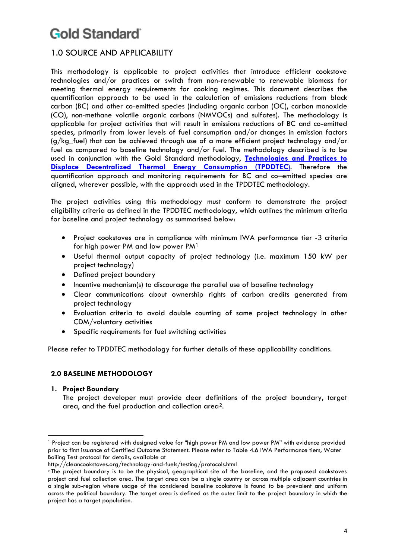### <span id="page-3-0"></span>1.0 SOURCE AND APPLICABILITY

This methodology is applicable to project activities that introduce efficient cookstove technologies and/or practices or switch from non-renewable to renewable biomass for meeting thermal energy requirements for cooking regimes. This document describes the quantification approach to be used in the calculation of emissions reductions from black carbon (BC) and other co-emitted species (including organic carbon (OC), carbon monoxide (CO), non-methane volatile organic carbons (NMVOCs) and sulfates). The methodology is applicable for project activities that will result in emissions reductions of BC and co-emitted species, primarily from lower levels of fuel consumption and/or changes in emission factors (g/kg\_fuel) that can be achieved through use of a more efficient project technology and/or fuel as compared to baseline technology and/or fuel. The methodology described is to be used in conjunction with the Gold Standard methodology, **[Technologies and Practices to](http://www.goldstandard.org/wp-content/uploads/2011/10/GS_110411_TPDDTEC_Methodology.pdf)  [Displace Decentralized Thermal Energy Consumption \(TPDDTEC](http://www.goldstandard.org/wp-content/uploads/2011/10/GS_110411_TPDDTEC_Methodology.pdf)**). Therefore the quantification approach and monitoring requirements for BC and co–emitted species are aligned, wherever possible, with the approach used in the TPDDTEC methodology.

The project activities using this methodology must conform to demonstrate the project eligibility criteria as defined in the TPDDTEC methodology, which outlines the minimum criteria for baseline and project technology as summarised below:

- Project cookstoves are in compliance with minimum IWA performance tier -3 criteria for high power PM and low power PM<sup>1</sup>
- Useful thermal output capacity of project technology (i.e. maximum 150 kW per project technology)
- Defined project boundary
- Incentive mechanism(s) to discourage the parallel use of baseline technology
- Clear communications about ownership rights of carbon credits generated from project technology
- Evaluation criteria to avoid double counting of same project technology in other CDM/voluntary activities
- Specific requirements for fuel switching activities

<span id="page-3-1"></span>Please refer to TPDDTEC methodology for further details of these applicability conditions.

#### **2.0 BASELINE METHODOLOGY**

#### <span id="page-3-2"></span>**1. Project Boundary**

The project developer must provide clear definitions of the project boundary, target area, and the fuel production and collection area2.

 $\overline{a}$ <sup>1</sup> Project can be registered with designed value for "high power PM and low power PM" with evidence provided prior to first issuance of Certified Outcome Statement. Please refer to Table 4.6 IWA Performance tiers, Water Boiling Test protocol for details, available at

http://cleancookstoves.org/technology-and-fuels/testing/protocols.html

<sup>2</sup> The project boundary is to be the physical, geographical site of the baseline, and the proposed cookstoves project and fuel collection area. The target area can be a single country or across multiple adjacent countries in a single sub-region where usage of the considered baseline cookstove is found to be prevalent and uniform across the political boundary. The target area is defined as the outer limit to the project boundary in which the project has a target population.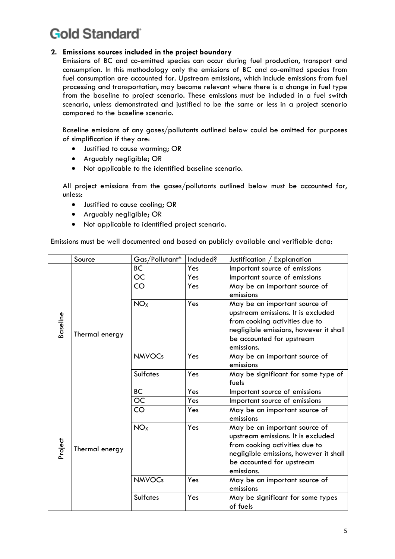#### <span id="page-4-0"></span>**2. Emissions sources included in the project boundary**

Emissions of BC and co-emitted species can occur during fuel production, transport and consumption. In this methodology only the emissions of BC and co-emitted species from fuel consumption are accounted for. Upstream emissions, which include emissions from fuel processing and transportation, may become relevant where there is a change in fuel type from the baseline to project scenario. These emissions must be included in a fuel switch scenario, unless demonstrated and justified to be the same or less in a project scenario compared to the baseline scenario.

Baseline emissions of any gases/pollutants outlined below could be omitted for purposes of simplification if they are:

- Justified to cause warming; OR
- Arguably negligible; OR
- Not applicable to the identified baseline scenario.

All project emissions from the gases/pollutants outlined below must be accounted for, unless:

- Justified to cause cooling; OR
- Arguably negligible; OR
- Not applicable to identified project scenario.

Emissions must be well documented and based on publicly available and verifiable data:

|                 | Source                                                                                                                                                                                   | Gas/Pollutant*                                                                                                                                                               | Included? | Justification / Explanation                                                                                                                                                                |
|-----------------|------------------------------------------------------------------------------------------------------------------------------------------------------------------------------------------|------------------------------------------------------------------------------------------------------------------------------------------------------------------------------|-----------|--------------------------------------------------------------------------------------------------------------------------------------------------------------------------------------------|
| <b>Baseline</b> | ВC<br>Yes<br>OC<br>Yes<br>CO<br>Yes<br>emissions<br><b>NO<sub>x</sub></b><br>Yes<br>Thermal energy<br>emissions.<br><b>NMVOCs</b><br>Yes<br>emissions<br><b>Sulfates</b><br>Yes<br>fuels |                                                                                                                                                                              |           | Important source of emissions                                                                                                                                                              |
|                 |                                                                                                                                                                                          |                                                                                                                                                                              |           | Important source of emissions                                                                                                                                                              |
|                 |                                                                                                                                                                                          |                                                                                                                                                                              |           | May be an important source of                                                                                                                                                              |
|                 |                                                                                                                                                                                          | May be an important source of<br>upstream emissions. It is excluded<br>from cooking activities due to<br>negligible emissions, however it shall<br>be accounted for upstream |           |                                                                                                                                                                                            |
|                 |                                                                                                                                                                                          | May be an important source of                                                                                                                                                |           |                                                                                                                                                                                            |
|                 |                                                                                                                                                                                          |                                                                                                                                                                              |           | May be significant for some type of                                                                                                                                                        |
| Project         |                                                                                                                                                                                          | BC                                                                                                                                                                           | Yes       | Important source of emissions                                                                                                                                                              |
|                 |                                                                                                                                                                                          | OC                                                                                                                                                                           | Yes       | Important source of emissions                                                                                                                                                              |
|                 |                                                                                                                                                                                          | CO                                                                                                                                                                           | Yes       | May be an important source of<br>emissions                                                                                                                                                 |
|                 | Thermal energy                                                                                                                                                                           | NO <sub>x</sub>                                                                                                                                                              | Yes       | May be an important source of<br>upstream emissions. It is excluded<br>from cooking activities due to<br>negligible emissions, however it shall<br>be accounted for upstream<br>emissions. |
|                 |                                                                                                                                                                                          | <b>NMVOCs</b>                                                                                                                                                                | Yes       | May be an important source of<br>emissions                                                                                                                                                 |
|                 |                                                                                                                                                                                          | <b>Sulfates</b>                                                                                                                                                              | Yes       | May be significant for some types<br>of fuels                                                                                                                                              |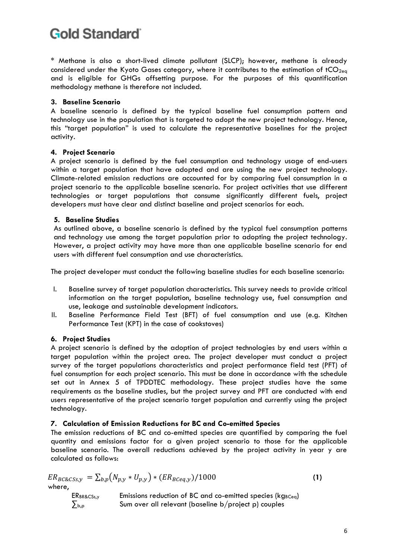\* Methane is also a short-lived climate pollutant (SLCP); however, methane is already considered under the Kyoto Gases category, where it contributes to the estimation of  $tCO<sub>2ea</sub>$ and is eligible for GHGs offsetting purpose. For the purposes of this quantification methodology methane is therefore not included.

#### <span id="page-5-0"></span>**3. Baseline Scenario**

A baseline scenario is defined by the typical baseline fuel consumption pattern and technology use in the population that is targeted to adopt the new project technology. Hence, this "target population" is used to calculate the representative baselines for the project activity.

#### <span id="page-5-1"></span>**4. Project Scenario**

A project scenario is defined by the fuel consumption and technology usage of end-users within a target population that have adopted and are using the new project technology. Climate-related emission reductions are accounted for by comparing fuel consumption in a project scenario to the applicable baseline scenario. For project activities that use different technologies or target populations that consume significantly different fuels, project developers must have clear and distinct baseline and project scenarios for each.

#### <span id="page-5-2"></span>**5. Baseline Studies**

As outlined above, a baseline scenario is defined by the typical fuel consumption patterns and technology use among the target population prior to adopting the project technology. However, a project activity may have more than one applicable baseline scenario for end users with different fuel consumption and use characteristics.

The project developer must conduct the following baseline studies for each baseline scenario:

- I. Baseline survey of target population characteristics. This survey needs to provide critical information on the target population, baseline technology use, fuel consumption and use, leakage and sustainable development indicators.
- II. Baseline Performance Field Test (BFT) of fuel consumption and use (e.g. Kitchen Performance Test (KPT) in the case of cookstoves)

#### <span id="page-5-3"></span>**6. Project Studies**

A project scenario is defined by the adoption of project technologies by end users within a target population within the project area. The project developer must conduct a project survey of the target populations characteristics and project performance field test (PFT) of fuel consumption for each project scenario. This must be done in accordance with the schedule set out in Annex 5 of TPDDTEC methodology. These project studies have the same requirements as the baseline studies, but the project survey and PFT are conducted with end users representative of the project scenario target population and currently using the project technology.

#### <span id="page-5-4"></span>**7. Calculation of Emission Reductions for BC and Co-emitted Species**

The emission reductions of BC and co-emitted species are quantified by comparing the fuel quantity and emissions factor for a given project scenario to those for the applicable baseline scenario. The overall reductions achieved by the project activity in year y are calculated as follows:

$$
ER_{BC\&CSs,y} = \sum_{b,p} (N_{p,y} * U_{p,y}) * (ER_{BCeq,y}) / 1000
$$
\nwhere,  
\nER<sub>BR\&CSs,y</sub>   
\nE<sub>BR\&CSs,y</sub>   
\nE<sub>Br</sub>   
\n
$$
EM_{B\&CSs,y}
$$
\n
$$
Sum over all relevant (baseline b/project p) couples
$$
\n(1)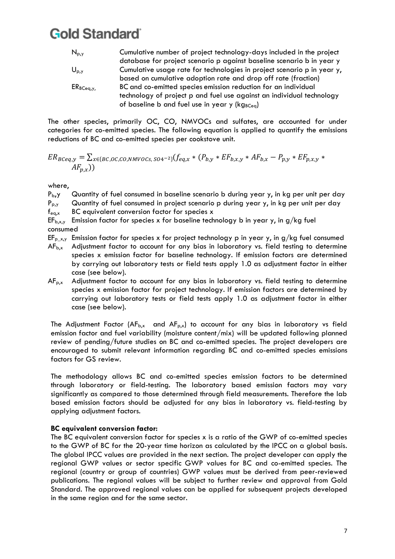| $N_{p,y}$      | Cumulative number of project technology-days included in the project    |
|----------------|-------------------------------------------------------------------------|
|                | database for project scenario p against baseline scenario b in year y   |
| $U_{p,y}$      | Cumulative usage rate for technologies in project scenario p in year y, |
|                | based on cumulative adoption rate and drop off rate (fraction)          |
| $ER_{BCeq, Y}$ | BC and co-emitted species emission reduction for an individual          |
|                | technology of project p and fuel use against an individual technology   |
|                | of baseline b and fuel use in year y (kg <sub>BCeq</sub> )              |

The other species, primarily OC, CO, NMVOCs and sulfates, are accounted for under categories for co-emitted species. The following equation is applied to quantify the emissions reductions of BC and co-emitted species per cookstove unit.

$$
ER_{BCeq,y} = \sum_{x \in \{BC,OC,CO, NMVOCs, SO4^{-2}\}} (f_{eq,x} * (P_{b,y} * EF_{b,x,y} * AF_{b,x} - P_{p,y} * EF_{p,x,y} * AF_{p,x,y} * AF_{p,x})
$$

where,

 $P_{b}$ , Quantity of fuel consumed in baseline scenario b during year y, in kg per unit per day

 $P_{p,y}$  Quantity of fuel consumed in project scenario p during year y, in kg per unit per day

 $f_{\text{e}a,x}$  BC equivalent conversion factor for species x

 $EF_{b,x,y}$  Emission factor for species x for baseline technology b in year y, in g/kg fuel consumed

- EF<sub>p xy</sub> Emission factor for species x for project technology p in year y, in g/kg fuel consumed
- $AF<sub>b,x</sub>$  Adjustment factor to account for any bias in laboratory vs. field testing to determine species x emission factor for baseline technology. If emission factors are determined by carrying out laboratory tests or field tests apply 1.0 as adjustment factor in either case (see below).
- AF<sub>p.x</sub> Adjustment factor to account for any bias in laboratory vs. field testing to determine species x emission factor for project technology. If emission factors are determined by carrying out laboratory tests or field tests apply 1.0 as adjustment factor in either case (see below).

The Adjustment Factor ( $AF<sub>b,x</sub>$  and  $AF<sub>p,x</sub>$ ) to account for any bias in laboratory vs field emission factor and fuel variability (moisture content/mix) will be updated following planned review of pending/future studies on BC and co-emitted species. The project developers are encouraged to submit relevant information regarding BC and co-emitted species emissions factors for GS review.

The methodology allows BC and co-emitted species emission factors to be determined through laboratory or field-testing. The laboratory based emission factors may vary significantly as compared to those determined through field measurements. Therefore the lab based emission factors should be adjusted for any bias in laboratory vs. field-testing by applying adjustment factors.

#### **BC equivalent conversion factor:**

The BC equivalent conversion factor for species x is a ratio of the GWP of co-emitted species to the GWP of BC for the 20-year time horizon as calculated by the IPCC on a global basis. The global IPCC values are provided in the next section. The project developer can apply the regional GWP values or sector specific GWP values for BC and co-emitted species. The regional (country or group of countries) GWP values must be derived from peer-reviewed publications. The regional values will be subject to further review and approval from Gold Standard. The approved regional values can be applied for subsequent projects developed in the same region and for the same sector.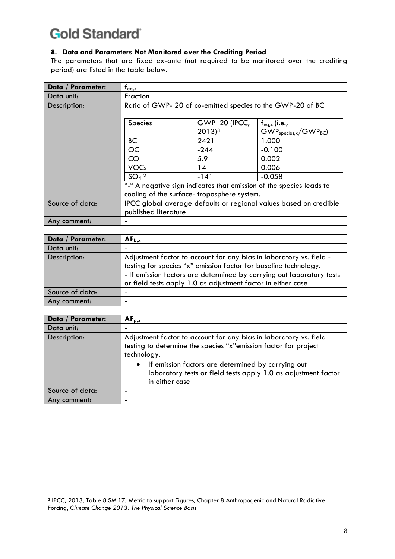#### <span id="page-7-0"></span>**8. Data and Parameters Not Monitored over the Crediting Period**

The parameters that are fixed ex-ante (not required to be monitored over the crediting period) are listed in the table below.

| Data / Parameter: | $f_{eq,x}$                                                                                                        |                                      |                                           |  |
|-------------------|-------------------------------------------------------------------------------------------------------------------|--------------------------------------|-------------------------------------------|--|
| Data unit:        | Fraction                                                                                                          |                                      |                                           |  |
| Description:      | Ratio of GWP-20 of co-emitted species to the GWP-20 of BC                                                         |                                      |                                           |  |
|                   | <b>Species</b>                                                                                                    | GWP_20 (IPCC,<br>$2013$ <sup>3</sup> | $f_{eq,x}$ (i.e.,<br>$GWPspecies,x/GWPBC$ |  |
|                   | <b>BC</b>                                                                                                         | 2421                                 | 1.000                                     |  |
|                   | <b>OC</b>                                                                                                         | $-244$                               | $-0.100$                                  |  |
|                   | CO                                                                                                                | 5.9                                  | 0.002                                     |  |
|                   | <b>VOCs</b>                                                                                                       | 14                                   | 0.006                                     |  |
|                   | $SO4 - 2$                                                                                                         | $-141$                               | $-0.058$                                  |  |
|                   | "-" A negative sign indicates that emission of the species leads to<br>cooling of the surface-troposphere system. |                                      |                                           |  |
| Source of data:   | IPCC global average defaults or regional values based on credible<br>published literature                         |                                      |                                           |  |
| Any comment:      |                                                                                                                   |                                      |                                           |  |

| Data / Parameter: | $AF_{b,x}$                                                                                                                                                                                                                                                                       |
|-------------------|----------------------------------------------------------------------------------------------------------------------------------------------------------------------------------------------------------------------------------------------------------------------------------|
| Data unit:        | -                                                                                                                                                                                                                                                                                |
| Description:      | Adjustment factor to account for any bias in laboratory vs. field -<br>testing for species "x" emission factor for baseline technology.<br>- If emission factors are determined by carrying out laboratory tests<br>or field tests apply 1.0 as adjustment factor in either case |
| Source of data:   | -                                                                                                                                                                                                                                                                                |
| Any comment:      |                                                                                                                                                                                                                                                                                  |

| Data / Parameter: | $AF_{p,x}$                                                                                                                                                                                                                                                                                                 |
|-------------------|------------------------------------------------------------------------------------------------------------------------------------------------------------------------------------------------------------------------------------------------------------------------------------------------------------|
| Data unit:        |                                                                                                                                                                                                                                                                                                            |
| Description:      | Adjustment factor to account for any bias in laboratory vs. field<br>testing to determine the species "x"emission factor for project<br>technology.<br>If emission factors are determined by carrying out<br>$\bullet$<br>laboratory tests or field tests apply 1.0 as adjustment factor<br>in either case |
| Source of data:   |                                                                                                                                                                                                                                                                                                            |
| Any comment:      |                                                                                                                                                                                                                                                                                                            |

<span id="page-7-1"></span> $\overline{a}$ <sup>3</sup> IPCC, 2013, Table 8.SM.17, Metric to support Figures, Chapter 8 Anthropogenic and Natural Radiative Forcing, *Climate Change 2013: The Physical Science Basis*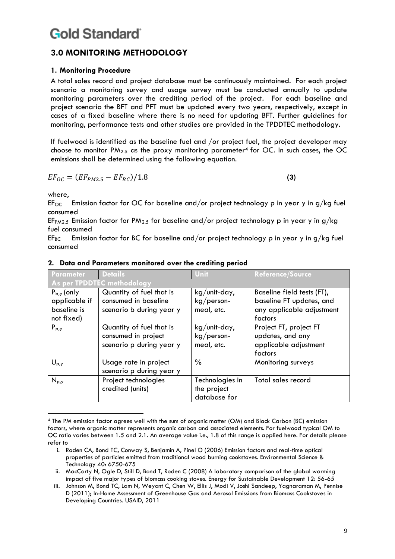### **3.0 MONITORING METHODOLOGY**

#### <span id="page-8-0"></span>**1. Monitoring Procedure**

A total sales record and project database must be continuously maintained. For each project scenario a monitoring survey and usage survey must be conducted annually to update monitoring parameters over the crediting period of the project. For each baseline and project scenario the BFT and PFT must be updated every two years, respectively, except in cases of a fixed baseline where there is no need for updating BFT. Further guidelines for monitoring, performance tests and other studies are provided in the TPDDTEC methodology.

If fuelwood is identified as the baseline fuel and /or project fuel, the project developer may choose to monitor  $PM_{2.5}$  as the proxy monitoring parameter<sup>4</sup> for OC. In such cases, the OC emissions shall be determined using the following equation.

$$
EF_{OC} = (EF_{PM2.5} - EF_{BC})/1.8
$$
 (3)

where,

 $\overline{a}$ 

 $EF_{OC}$  Emission factor for OC for baseline and/or project technology p in year y in g/kg fuel consumed

EF<sub>PM2.5</sub> Emission factor for PM<sub>2.5</sub> for baseline and/or project technology p in year y in g/kg fuel consumed

 $EF_{BC}$  Emission factor for BC for baseline and/or project technology p in year y in g/kg fuel consumed

| Parameter                                                     | <b>Details</b>                                                               | Unit                                           | <b>Reference/Source</b>                                                                        |
|---------------------------------------------------------------|------------------------------------------------------------------------------|------------------------------------------------|------------------------------------------------------------------------------------------------|
|                                                               | As per TPDDTEC methodology                                                   |                                                |                                                                                                |
| $P_{b,y}$ (only<br>applicable if<br>baseline is<br>not fixed) | Quantity of fuel that is<br>consumed in baseline<br>scenario b during year y | $kg/unit$ -day,<br>$kg/person-$<br>meal, etc.  | Baseline field tests (FT),<br>baseline FT updates, and<br>any applicable adjustment<br>factors |
| $P_{p,y}$                                                     | Quantity of fuel that is<br>consumed in project<br>scenario p during year y  | $kg/$ unit-day,<br>$kg/person-$<br>meal, etc.  | Project FT, project FT<br>updates, and any<br>applicable adjustment<br>factors                 |
| $U_{p,y}$                                                     | Usage rate in project<br>scenario p during year y                            | $\frac{0}{0}$                                  | Monitoring surveys                                                                             |
| $N_{p,y}$                                                     | Project technologies<br>credited (units)                                     | Technologies in<br>the project<br>database for | Total sales record                                                                             |

#### <span id="page-8-1"></span>**2. Data and Parameters monitored over the crediting period**

<sup>4</sup> The PM emission factor agrees well with the sum of organic matter (OM) and Black Carbon (BC) emission factors, where organic matter represents organic carbon and associated elements. For fuelwood typical OM to OC ratio varies between 1.5 and 2.1. An average value i.e., 1.8 of this range is applied here. For details please refer to

i. Roden CA, Bond TC, Conway S, Benjamin A, Pinel O (2006) Emission factors and real-time optical properties of particles emitted from traditional wood burning cookstoves. Environmental Science & Technology 40: 6750-675

ii. MacCarty N, Ogle D, Still D, Bond T, Roden C (2008) A laboratory comparison of the global warming impact of five major types of biomass cooking stoves. Energy for Sustainable Development 12: 56-65

iii. Johnson M, Bond TC, Lam N, Weyant C, Chen W, Ellis J, Modi V, Joshi Sandeep, Yagnaraman M, Pennise D (2011); In-Home Assessment of Greenhouse Gas and Aerosol Emissions from Biomass Cookstoves in Developing Countries. USAID, 2011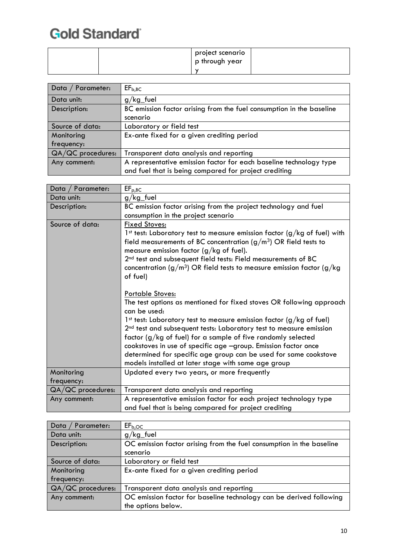|  | project scenario<br>p through year |  |
|--|------------------------------------|--|
|  |                                    |  |

| Data / Parameter: | EF <sub>b,BC</sub>                                                   |
|-------------------|----------------------------------------------------------------------|
| Data unit:        | $g/kg$ -fuel                                                         |
| Description:      | BC emission factor arising from the fuel consumption in the baseline |
|                   | scenario                                                             |
| Source of data:   | Laboratory or field test                                             |
| Monitoring        | Ex-ante fixed for a given crediting period                           |
| frequency:        |                                                                      |
| QA/QC procedures: | Transparent data analysis and reporting                              |
| Any comment:      | A representative emission factor for each baseline technology type   |
|                   | and fuel that is being compared for project crediting                |

| Data / Parameter: | $EF_{p,BC}$                                                                          |
|-------------------|--------------------------------------------------------------------------------------|
| Data unit:        | $g/kg$ -fuel                                                                         |
| Description:      | BC emission factor arising from the project technology and fuel                      |
|                   | consumption in the project scenario                                                  |
| Source of data:   | Fixed Stoves:                                                                        |
|                   | 1st test: Laboratory test to measure emission factor (g/kg of fuel) with             |
|                   | field measurements of BC concentration $(g/m3)$ OR field tests to                    |
|                   | measure emission factor ( $g/kg$ of fuel).                                           |
|                   | 2 <sup>nd</sup> test and subsequent field tests: Field measurements of BC            |
|                   | concentration ( $g/m^3$ ) OR field tests to measure emission factor ( $g/kg$         |
|                   | of fuel)                                                                             |
|                   |                                                                                      |
|                   | <b>Portable Stoves:</b>                                                              |
|                   | The test options as mentioned for fixed stoves OR following approach<br>can be used: |
|                   | 1st test: Laboratory test to measure emission factor (g/kg of fuel)                  |
|                   | 2 <sup>nd</sup> test and subsequent tests: Laboratory test to measure emission       |
|                   | factor (g/kg of fuel) for a sample of five randomly selected                         |
|                   | cookstoves in use of specific age -group. Emission factor once                       |
|                   | determined for specific age group can be used for same cookstove                     |
|                   | models installed at later stage with same age group                                  |
| Monitoring        | Updated every two years, or more frequently                                          |
| frequency:        |                                                                                      |
| QA/QC procedures: | Transparent data analysis and reporting                                              |
| Any comment:      | A representative emission factor for each project technology type                    |
|                   | and fuel that is being compared for project crediting                                |

| Parameter:<br>  Data | EF <sub>b,OC</sub>                                                   |
|----------------------|----------------------------------------------------------------------|
| Data unit:           | $g/kg$ -fuel                                                         |
| Description:         | OC emission factor arising from the fuel consumption in the baseline |
|                      | scenario                                                             |
| Source of data:      | Laboratory or field test                                             |
| Monitoring           | Ex-ante fixed for a given crediting period                           |
| frequency:           |                                                                      |
| QA/QC procedures:    | Transparent data analysis and reporting                              |
| Any comment:         | OC emission factor for baseline technology can be derived following  |
|                      | the options below.                                                   |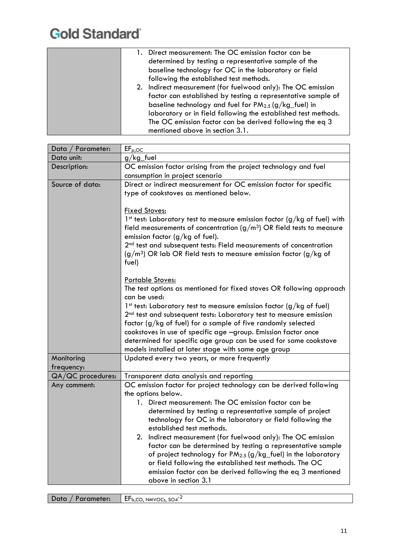| 1. Direct measurement: The OC emission factor can be           |
|----------------------------------------------------------------|
| determined by testing a representative sample of the           |
| baseline technology for OC in the laboratory or field          |
| following the established test methods.                        |
| 2. Indirect measurement (for fuelwood only): The OC emission   |
| factor can established by testing a representative sample of   |
| baseline technology and fuel for $PM_{2.5}$ (g/kg_fuel) in     |
| laboratory or in field following the established test methods. |
| The OC emission factor can be derived following the eq 3       |
| mentioned above in section 3.1.                                |

| $EF_{p,OC}$                                                                             |
|-----------------------------------------------------------------------------------------|
| $g/kg$ -fuel                                                                            |
| OC emission factor arising from the project technology and fuel                         |
| consumption in project scenario                                                         |
| Direct or indirect measurement for OC emission factor for specific                      |
| type of cookstoves as mentioned below.                                                  |
|                                                                                         |
| <b>Fixed Stoves:</b>                                                                    |
| 1st test: Laboratory test to measure emission factor (g/kg of fuel) with                |
| field measurements of concentration $(g/m3)$ OR field tests to measure                  |
| emission factor ( $g/kg$ of fuel).                                                      |
| 2 <sup>nd</sup> test and subsequent tests: Field measurements of concentration          |
| $(g/m3)$ OR lab OR field tests to measure emission factor (g/kg of<br>fuel)             |
|                                                                                         |
| Portable Stoves:                                                                        |
| The test options as mentioned for fixed stoves OR following approach                    |
| can be used:                                                                            |
| 1st test: Laboratory test to measure emission factor (g/kg of fuel)                     |
| 2 <sup>nd</sup> test and subsequent tests: Laboratory test to measure emission          |
| factor (g/kg of fuel) for a sample of five randomly selected                            |
| cookstoves in use of specific age -group. Emission factor once                          |
| determined for specific age group can be used for same cookstove                        |
| models installed at later stage with same age group                                     |
| Updated every two years, or more frequently                                             |
|                                                                                         |
| Transparent data analysis and reporting                                                 |
| OC emission factor for project technology can be derived following                      |
| the options below.                                                                      |
| 1. Direct measurement: The OC emission factor can be                                    |
| determined by testing a representative sample of project                                |
| technology for OC in the laboratory or field following the<br>established test methods. |
| 2. Indirect measurement (for fuelwood only): The OC emission                            |
| factor can be determined by testing a representative sample                             |
| of project technology for PM <sub>2.5</sub> (g/kg_fuel) in the laboratory               |
| or field following the established test methods. The OC                                 |
| emission factor can be derived following the eq 3 mentioned                             |
| above in section 3.1                                                                    |
|                                                                                         |

| Data / Parameter: | $\mathsf{IF}_{b,CO, NMVOCs, SO4}^2$ |
|-------------------|-------------------------------------|
|-------------------|-------------------------------------|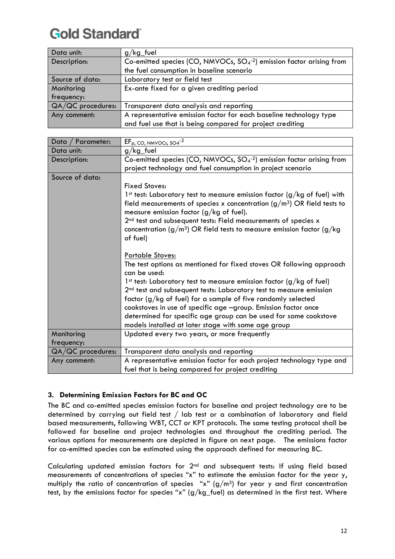| Data unit:        | $g/kg$ fuel                                                            |
|-------------------|------------------------------------------------------------------------|
| Description:      | Co-emitted species (CO, NMVOCs, $SO4$ -2) emission factor arising from |
|                   | the fuel consumption in baseline scenario                              |
| Source of data:   | Laboratory test or field test                                          |
| Monitoring        | Ex-ante fixed for a given crediting period                             |
| frequency:        |                                                                        |
| QA/QC procedures: | Transparent data analysis and reporting                                |
| Any comment:      | A representative emission factor for each baseline technology type     |
|                   | and fuel use that is being compared for project crediting              |

| Data /<br>Parameter: | $EF_{p, CO, NMVOCs, SO4}$ <sup>-2</sup>                                              |
|----------------------|--------------------------------------------------------------------------------------|
|                      |                                                                                      |
| Data unit:           | $g/kg$ -fuel                                                                         |
| Description:         | Co-emitted species (CO, NMVOCs, $SO4$ <sup>-2</sup> ) emission factor arising from   |
|                      | project technology and fuel consumption in project scenario                          |
| Source of data:      |                                                                                      |
|                      | <b>Fixed Stoves:</b>                                                                 |
|                      | 1 <sup>st</sup> test: Laboratory test to measure emission factor (g/kg of fuel) with |
|                      | field measurements of species x concentration $(g/m3)$ OR field tests to             |
|                      | measure emission factor $(g/kg$ of fuel).                                            |
|                      | 2 <sup>nd</sup> test and subsequent tests: Field measurements of species x           |
|                      | concentration ( $g/m^3$ ) OR field tests to measure emission factor ( $g/kg$         |
|                      | of fuel)                                                                             |
|                      |                                                                                      |
|                      | <b>Portable Stoves:</b>                                                              |
|                      | The test options as mentioned for fixed stoves OR following approach                 |
|                      | can be used:                                                                         |
|                      | 1 <sup>st</sup> test: Laboratory test to measure emission factor (g/kg of fuel)      |
|                      | 2 <sup>nd</sup> test and subsequent tests: Laboratory test to measure emission       |
|                      | factor (g/kg of fuel) for a sample of five randomly selected                         |
|                      | cookstoves in use of specific age -group. Emission factor once                       |
|                      |                                                                                      |
|                      | determined for specific age group can be used for same cookstove                     |
|                      | models installed at later stage with same age group                                  |
| Monitoring           | Updated every two years, or more frequently                                          |
| frequency:           |                                                                                      |
| QA/QC procedures:    | Transparent data analysis and reporting                                              |
| Any comment:         | A representative emission factor for each project technology type and                |
|                      | fuel that is being compared for project crediting                                    |

#### <span id="page-11-0"></span>**3. Determining Emission Factors for BC and OC**

The BC and co-emitted species emission factors for baseline and project technology are to be determined by carrying out field test / lab test or a combination of laboratory and field based measurements, following WBT, CCT or KPT protocols. The same testing protocol shall be followed for baseline and project technologies and throughout the crediting period. The various options for measurements are depicted in figure on next page. The emissions factor for co-emitted species can be estimated using the approach defined for measuring BC.

Calculating updated emission factors for 2nd and subsequent tests: If using field based measurements of concentrations of species "x" to estimate the emission factor for the year y, multiply the ratio of concentration of species "x"  $(g/m^3)$  for year y and first concentration test, by the emissions factor for species "x" (g/kg\_fuel) as determined in the first test. Where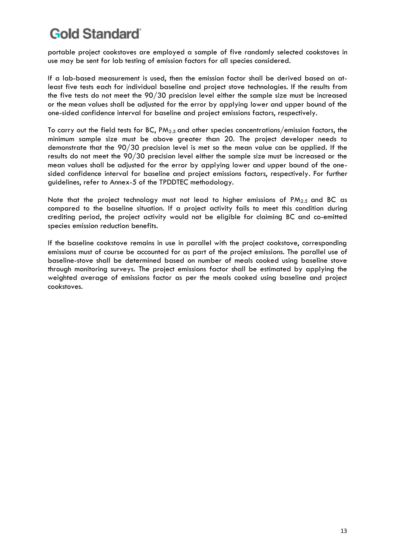portable project cookstoves are employed a sample of five randomly selected cookstoves in use may be sent for lab testing of emission factors for all species considered.

If a lab-based measurement is used, then the emission factor shall be derived based on atleast five tests each for individual baseline and project stove technologies. If the results from the five tests do not meet the 90/30 precision level either the sample size must be increased or the mean values shall be adjusted for the error by applying lower and upper bound of the one-sided confidence interval for baseline and project emissions factors, respectively.

To carry out the field tests for BC,  $PM_{2.5}$  and other species concentrations/emission factors, the minimum sample size must be above greater than 20. The project developer needs to demonstrate that the 90/30 precision level is met so the mean value can be applied. If the results do not meet the 90/30 precision level either the sample size must be increased or the mean values shall be adjusted for the error by applying lower and upper bound of the onesided confidence interval for baseline and project emissions factors, respectively. For further guidelines, refer to Annex-5 of the TPDDTEC methodology.

Note that the project technology must not lead to higher emissions of PM2.5 and BC as compared to the baseline situation. If a project activity fails to meet this condition during crediting period, the project activity would not be eligible for claiming BC and co-emitted species emission reduction benefits.

If the baseline cookstove remains in use in parallel with the project cookstove, corresponding emissions must of course be accounted for as part of the project emissions. The parallel use of baseline-stove shall be determined based on number of meals cooked using baseline stove through monitoring surveys. The project emissions factor shall be estimated by applying the weighted average of emissions factor as per the meals cooked using baseline and project cookstoves.